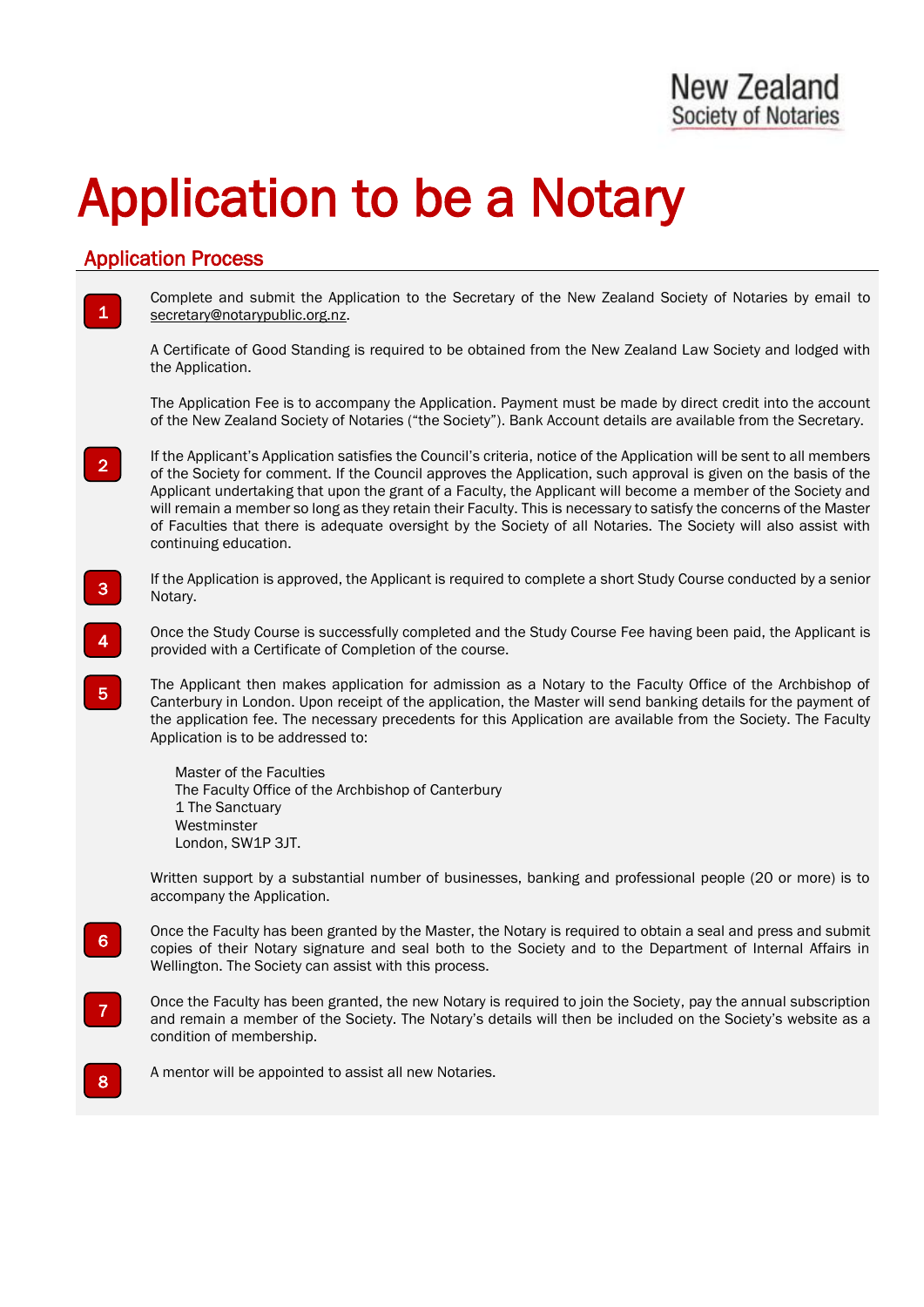# Application to be a Notary

# Application Process

1

2

4

5

8

Complete and submit the Application to the Secretary of the New Zealand Society of Notaries by email to [secretary@notarypublic.org.nz.](mailto:secretary@notarypublic.org.nz)

A Certificate of Good Standing is required to be obtained from the New Zealand Law Society and lodged with the Application.

The Application Fee is to accompany the Application. Payment must be made by direct credit into the account of the New Zealand Society of Notaries ("the Society"). Bank Account details are available from the Secretary.

If the Applicant's Application satisfies the Council's criteria, notice of the Application will be sent to all members of the Society for comment. If the Council approves the Application, such approval is given on the basis of the Applicant undertaking that upon the grant of a Faculty, the Applicant will become a member of the Society and will remain a member so long as they retain their Faculty. This is necessary to satisfy the concerns of the Master of Faculties that there is adequate oversight by the Society of all Notaries. The Society will also assist with continuing education.

If the Application is approved, the Applicant is required to complete a short Study Course conducted by a senior Notary. 3

Once the Study Course is successfully completed and the Study Course Fee having been paid, the Applicant is provided with a Certificate of Completion of the course.

The Applicant then makes application for admission as a Notary to the Faculty Office of the Archbishop of Canterbury in London. Upon receipt of the application, the Master will send banking details for the payment of the application fee. The necessary precedents for this Application are available from the Society. The Faculty Application is to be addressed to:

Master of the Faculties The Faculty Office of the Archbishop of Canterbury 1 The Sanctuary Westminster London, SW1P 3JT.

Written support by a substantial number of businesses, banking and professional people (20 or more) is to accompany the Application.

- Once the Faculty has been granted by the Master, the Notary is required to obtain a seal and press and submit copies of their Notary signature and seal both to the Society and to the Department of Internal Affairs in Wellington. The Society can assist with this process. 6
- Once the Faculty has been granted, the new Notary is required to join the Society, pay the annual subscription and remain a member of the Society. The Notary's details will then be included on the Society's website as a condition of membership. 7
	- A mentor will be appointed to assist all new Notaries.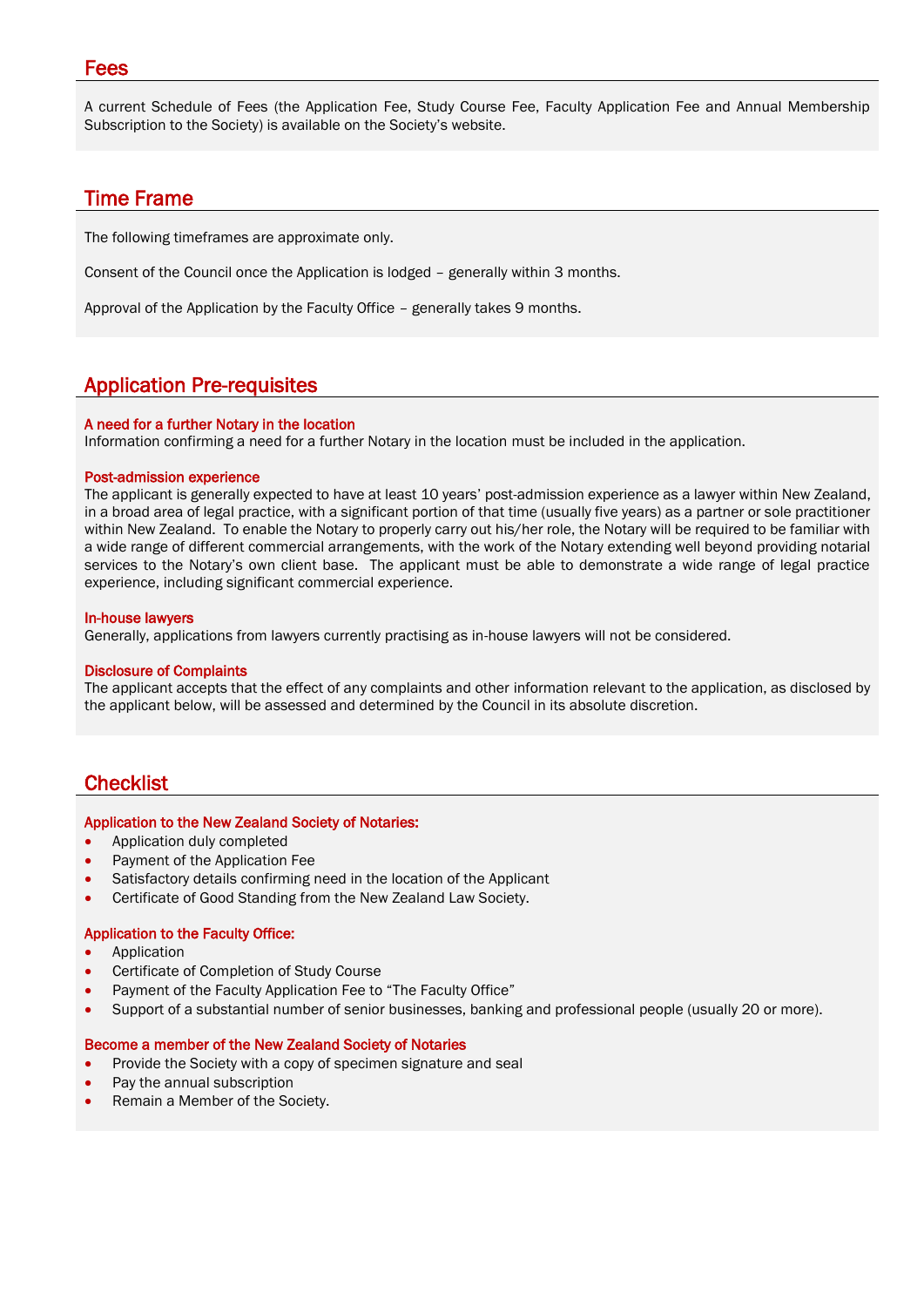#### Fees

A current Schedule of Fees (the Application Fee, Study Course Fee, Faculty Application Fee and Annual Membership Subscription to the Society) is available on the Society's website.

## Time Frame

The following timeframes are approximate only.

Consent of the Council once the Application is lodged – generally within 3 months.

Approval of the Application by the Faculty Office – generally takes 9 months.

### Application Pre-requisites

#### A need for a further Notary in the location

Information confirming a need for a further Notary in the location must be included in the application.

#### Post-admission experience

The applicant is generally expected to have at least 10 years' post-admission experience as a lawyer within New Zealand, in a broad area of legal practice, with a significant portion of that time (usually five years) as a partner or sole practitioner within New Zealand. To enable the Notary to properly carry out his/her role, the Notary will be required to be familiar with a wide range of different commercial arrangements, with the work of the Notary extending well beyond providing notarial services to the Notary's own client base. The applicant must be able to demonstrate a wide range of legal practice experience, including significant commercial experience.

#### In-house lawyers

Generally, applications from lawyers currently practising as in-house lawyers will not be considered.

#### Disclosure of Complaints

The applicant accepts that the effect of any complaints and other information relevant to the application, as disclosed by the applicant below, will be assessed and determined by the Council in its absolute discretion.

# **Checklist**

#### Application to the New Zealand Society of Notaries:

- Application duly completed
- Payment of the Application Fee
- Satisfactory details confirming need in the location of the Applicant
- Certificate of Good Standing from the New Zealand Law Society.

#### Application to the Faculty Office:

- **Application**
- Certificate of Completion of Study Course
- Payment of the Faculty Application Fee to "The Faculty Office"
- Support of a substantial number of senior businesses, banking and professional people (usually 20 or more).

#### Become a member of the New Zealand Society of Notaries

- Provide the Society with a copy of specimen signature and seal
- Pay the annual subscription
- Remain a Member of the Society.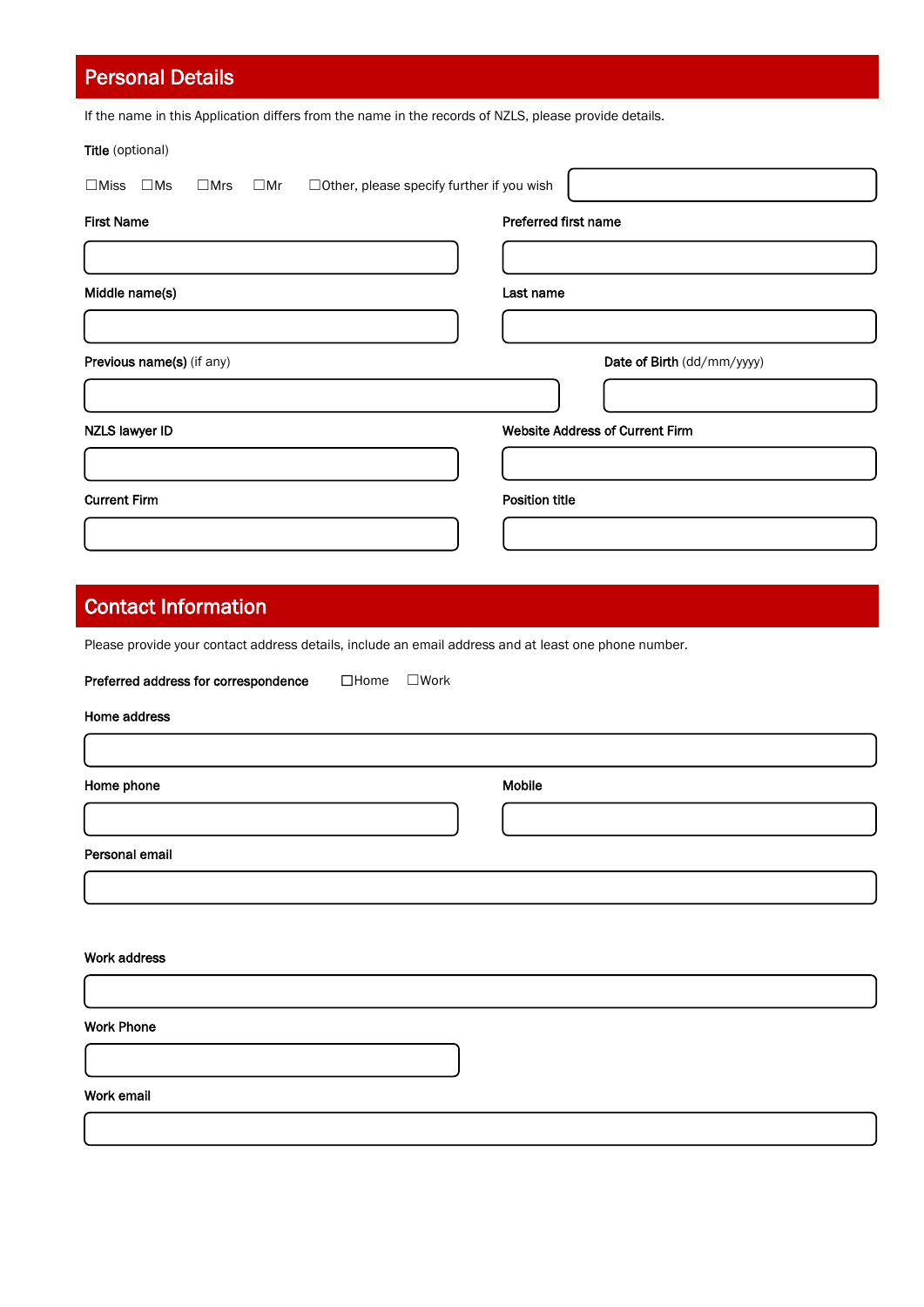| <b>Personal Details</b>                                                                                        |                                        |
|----------------------------------------------------------------------------------------------------------------|----------------------------------------|
| If the name in this Application differs from the name in the records of NZLS, please provide details.          |                                        |
| Title (optional)                                                                                               |                                        |
| □ Other, please specify further if you wish<br>$\square$ Miss<br>$\square$ Ms<br>$\square$ Mrs<br>$\square$ Mr |                                        |
| <b>First Name</b>                                                                                              | Preferred first name                   |
|                                                                                                                |                                        |
| Middle name(s)                                                                                                 | Last name                              |
|                                                                                                                |                                        |
| Previous name(s) (if any)                                                                                      | Date of Birth (dd/mm/yyyy)             |
|                                                                                                                |                                        |
| <b>NZLS lawyer ID</b>                                                                                          | <b>Website Address of Current Firm</b> |
|                                                                                                                |                                        |
| <b>Current Firm</b>                                                                                            | <b>Position title</b>                  |
|                                                                                                                |                                        |
|                                                                                                                |                                        |
| <b>Contact Information</b>                                                                                     |                                        |
| Please provide your contact address details, include an email address and at least one phone number.           |                                        |
| Preferred address for correspondence<br>$\square$ Home<br>$\square$ Work                                       |                                        |
| Home address                                                                                                   |                                        |
|                                                                                                                |                                        |
| Home phone                                                                                                     | Mobile                                 |
|                                                                                                                |                                        |
| Personal email                                                                                                 |                                        |

| Work address      |  |  |  |
|-------------------|--|--|--|
|                   |  |  |  |
| <b>Work Phone</b> |  |  |  |
|                   |  |  |  |
| Work email        |  |  |  |

 $\overline{\phantom{a}}$ 

 $\overline{\phantom{a}}$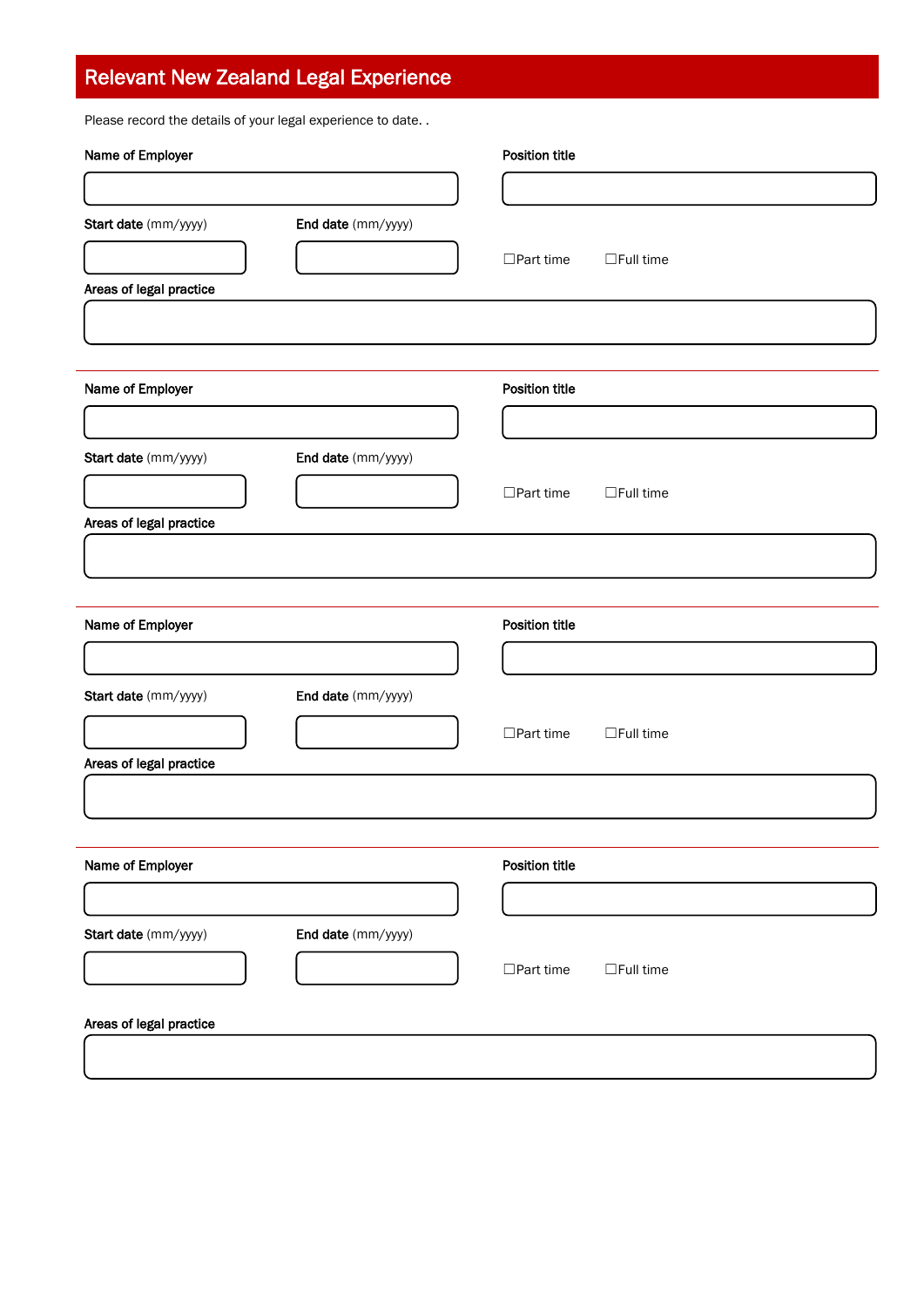# Relevant New Zealand Legal Experience

Please record the details of your legal experience to date. .

| Name of Employer        |                    | Position title        |                  |
|-------------------------|--------------------|-----------------------|------------------|
|                         |                    |                       |                  |
| Start date (mm/yyyy)    | End date (mm/yyyy) |                       |                  |
|                         |                    | $\Box$ Part time      | $\Box$ Full time |
| Areas of legal practice |                    |                       |                  |
|                         |                    |                       |                  |
|                         |                    | <b>Position title</b> |                  |
| Name of Employer        |                    |                       |                  |
|                         |                    |                       |                  |
| Start date (mm/yyyy)    | End date (mm/yyyy) |                       |                  |
|                         |                    | $\Box$ Part time      | $\Box$ Full time |
| Areas of legal practice |                    |                       |                  |
|                         |                    |                       |                  |
|                         |                    |                       |                  |
| Name of Employer        |                    | <b>Position title</b> |                  |
|                         |                    |                       |                  |
| Start date (mm/yyyy)    | End date (mm/yyyy) |                       |                  |
|                         |                    | $\Box$ Part time      | $\Box$ Full time |
| Areas of legal practice |                    |                       |                  |
|                         |                    |                       |                  |
|                         |                    |                       |                  |
| Name of Employer        |                    | <b>Position title</b> |                  |
|                         |                    |                       |                  |
| Start date (mm/yyyy)    | End date (mm/yyyy) |                       |                  |
|                         |                    | $\Box$ Part time      | $\Box$ Full time |
|                         |                    |                       |                  |
| Areas of legal practice |                    |                       |                  |
|                         |                    |                       |                  |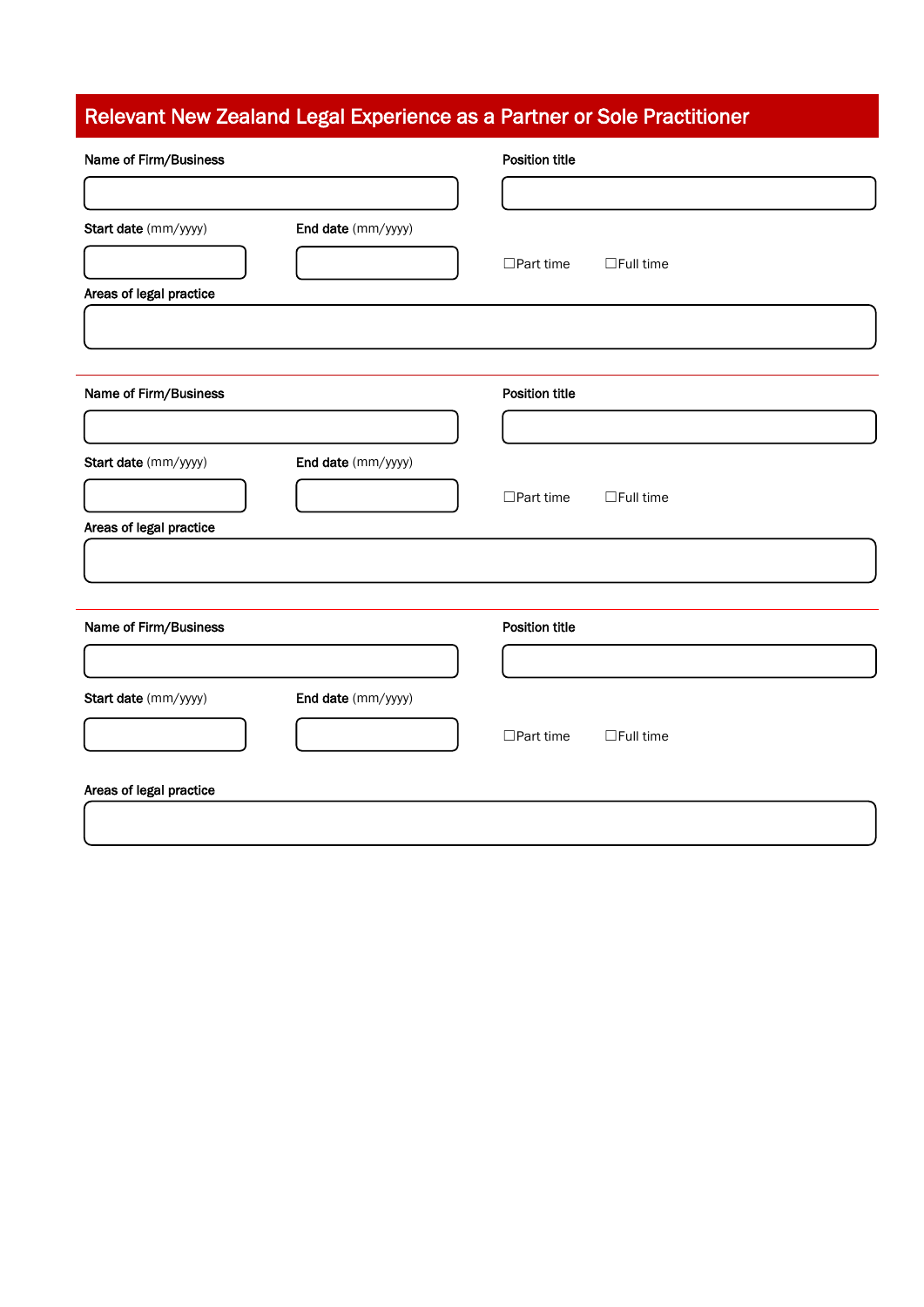# Relevant New Zealand Legal Experience as a Partner or Sole Practitioner

| Name of Firm/Business   |                    | <b>Position title</b>                |
|-------------------------|--------------------|--------------------------------------|
|                         |                    |                                      |
| Start date (mm/yyyy)    | End date (mm/yyyy) |                                      |
|                         |                    | $\Box$ Part time<br>$\Box$ Full time |
| Areas of legal practice |                    |                                      |
|                         |                    |                                      |
| Name of Firm/Business   |                    | <b>Position title</b>                |
|                         |                    |                                      |
| Start date (mm/yyyy)    | End date (mm/yyyy) |                                      |
|                         |                    | $\Box$ Part time<br>$\Box$ Full time |
| Areas of legal practice |                    |                                      |
|                         |                    |                                      |
|                         |                    |                                      |
| Name of Firm/Business   |                    | <b>Position title</b>                |
|                         |                    |                                      |
| Start date (mm/yyyy)    | End date (mm/yyyy) |                                      |
|                         |                    | $\Box$ Part time<br>$\Box$ Full time |
| Areas of legal practice |                    |                                      |
|                         |                    |                                      |
|                         |                    |                                      |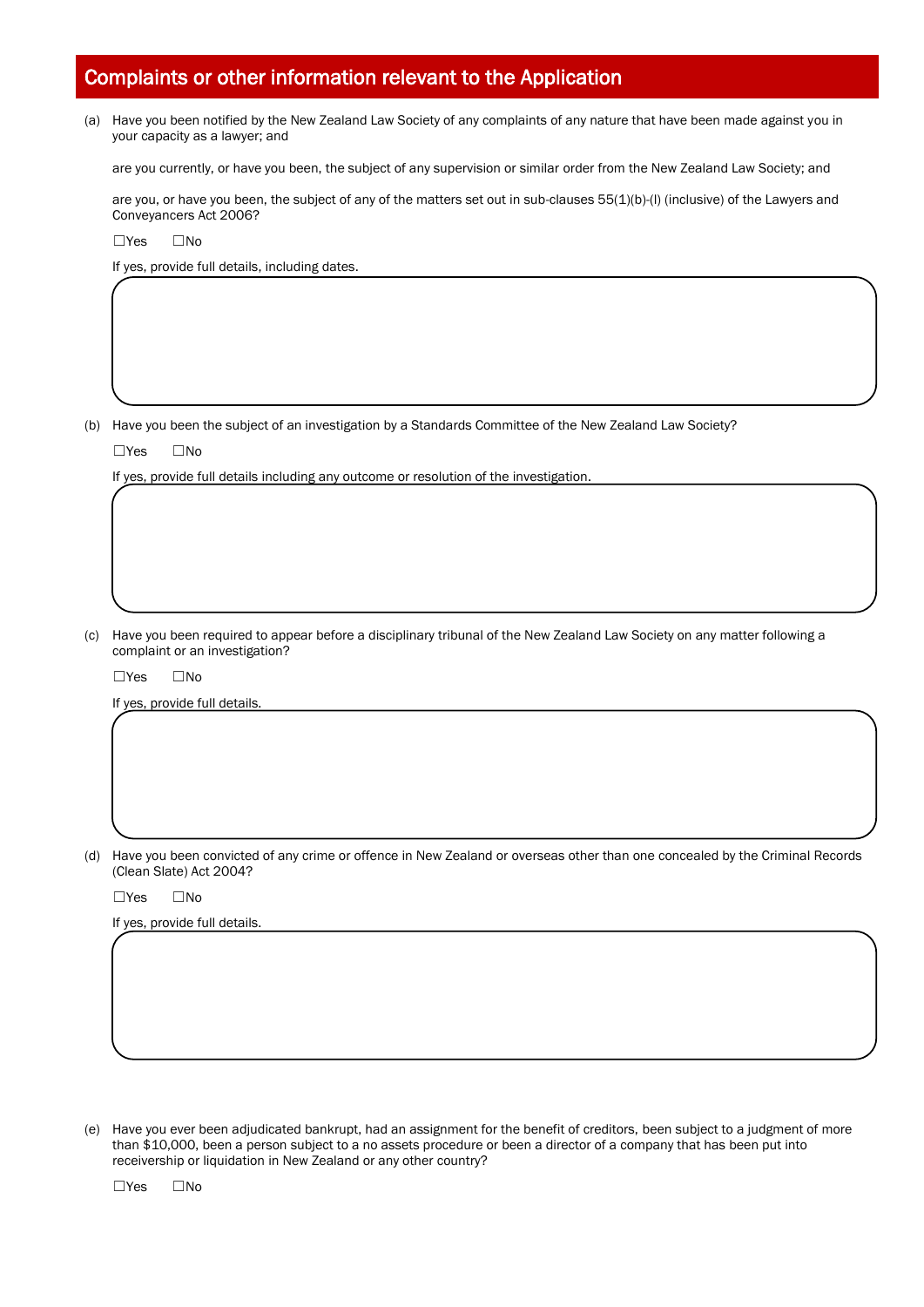# Complaints or other information relevant to the Application

(a) Have you been notified by the New Zealand Law Society of any complaints of any nature that have been made against you in your capacity as a lawyer; and

are you currently, or have you been, the subject of any supervision or similar order from the New Zealand Law Society; and

are you, or have you been, the subject of any of the matters set out in sub-clauses 55(1)(b)-(l) (inclusive) of the Lawyers and Conveyancers Act 2006?

☐Yes ☐No

If yes, provide full details, including dates.

(b) Have you been the subject of an investigation by a Standards Committee of the New Zealand Law Society?

☐Yes ☐No

If yes, provide full details including any outcome or resolution of the investigation.

(c) Have you been required to appear before a disciplinary tribunal of the New Zealand Law Society on any matter following a complaint or an investigation?

☐Yes ☐No

If yes, provide full details

(d) Have you been convicted of any crime or offence in New Zealand or overseas other than one concealed by the Criminal Records (Clean Slate) Act 2004?

☐Yes ☐No

If yes, provide full details.

(e) Have you ever been adjudicated bankrupt, had an assignment for the benefit of creditors, been subject to a judgment of more than \$10,000, been a person subject to a no assets procedure or been a director of a company that has been put into receivership or liquidation in New Zealand or any other country?

☐Yes ☐No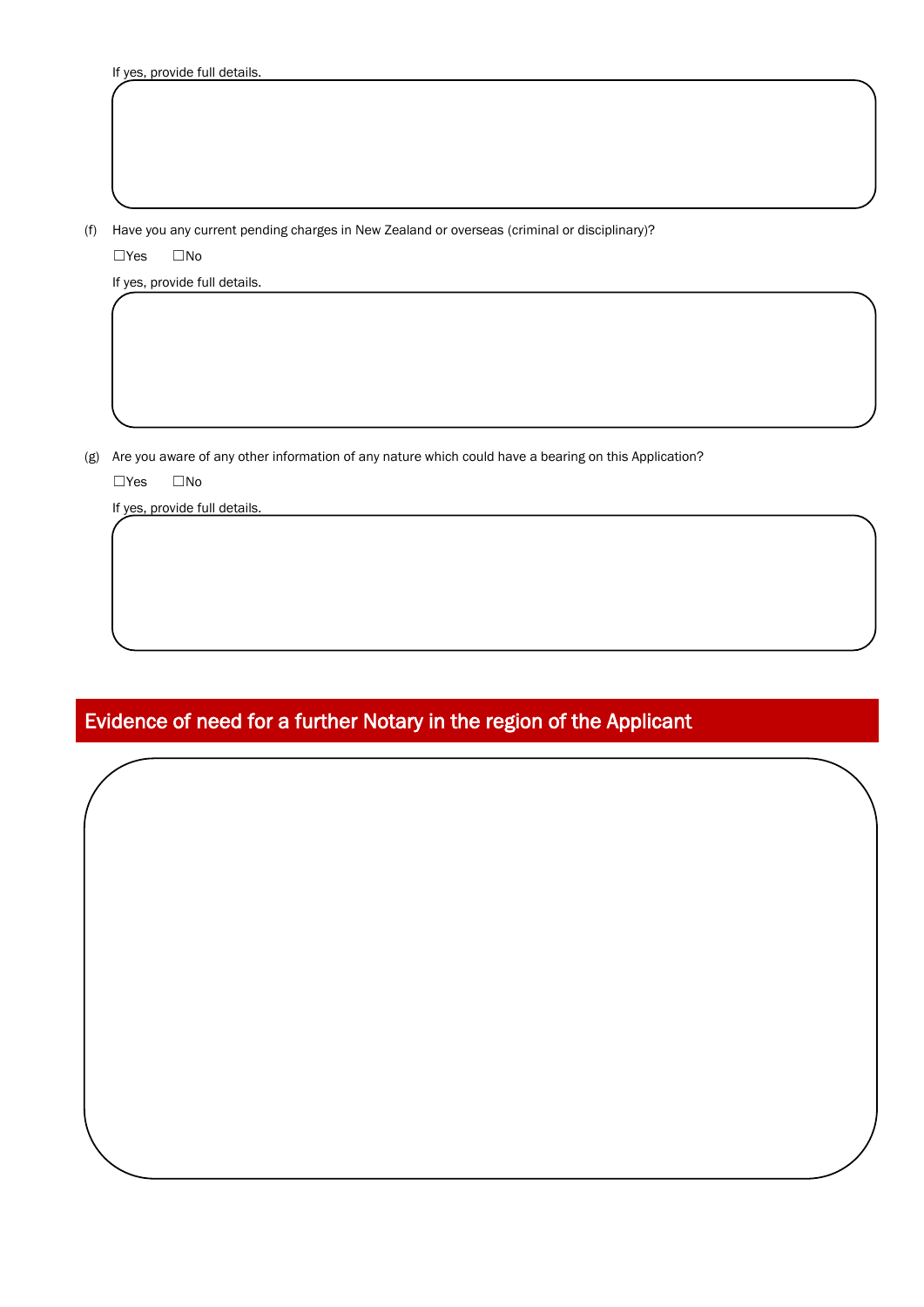(f) Have you any current pending charges in New Zealand or overseas (criminal or disciplinary)?

☐Yes ☐No

If yes, provide full details.

(g) Are you aware of any other information of any nature which could have a bearing on this Application?

☐Yes ☐No

If yes, provide full details.

# Evidence of need for a further Notary in the region of the Applicant